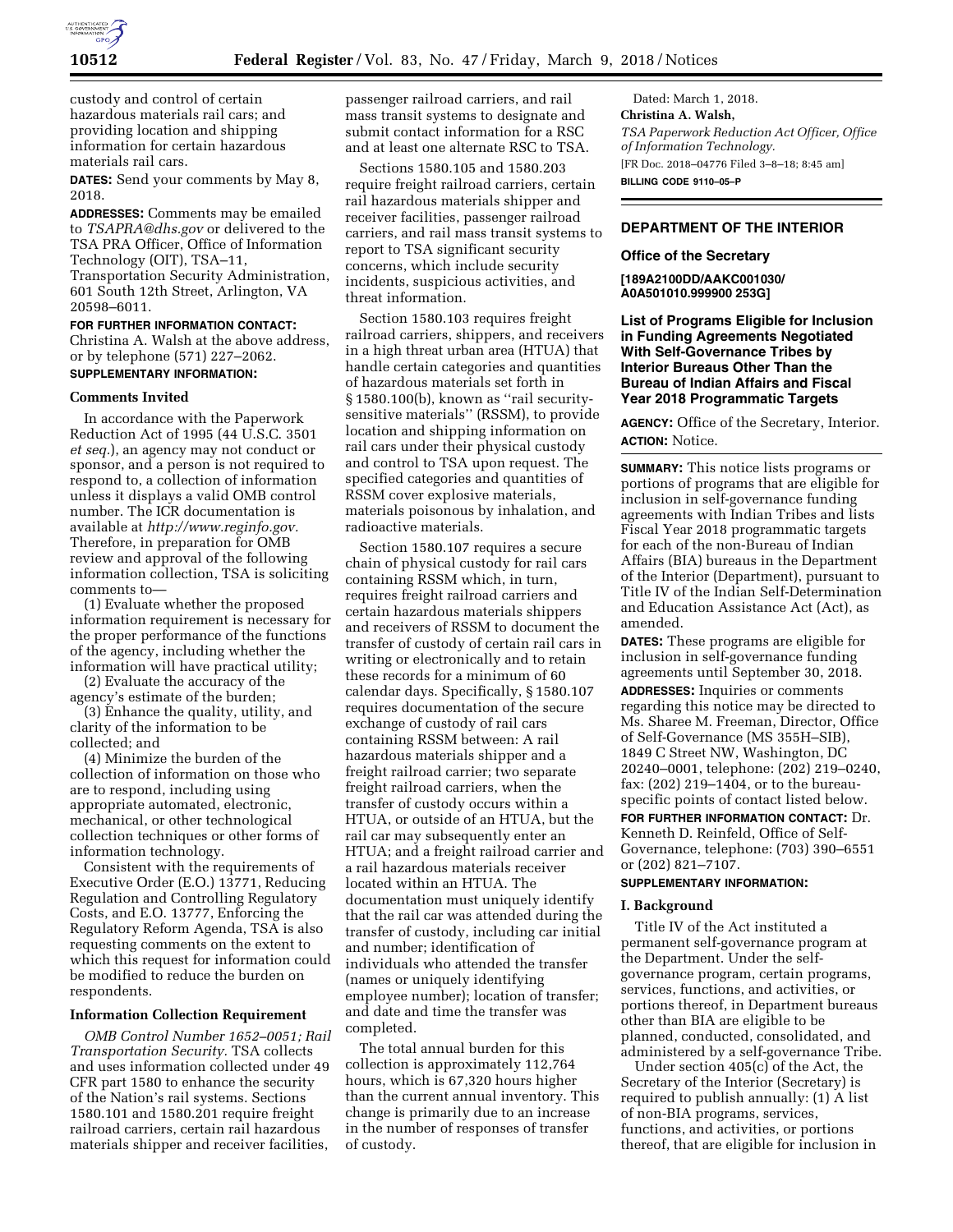

custody and control of certain hazardous materials rail cars; and providing location and shipping information for certain hazardous materials rail cars.

**DATES:** Send your comments by May 8, 2018.

**ADDRESSES:** Comments may be emailed to *[TSAPRA@dhs.gov](mailto:TSAPRA@dhs.gov)* or delivered to the TSA PRA Officer, Office of Information Technology (OIT), TSA–11, Transportation Security Administration, 601 South 12th Street, Arlington, VA 20598–6011.

**FOR FURTHER INFORMATION CONTACT:**  Christina A. Walsh at the above address, or by telephone (571) 227–2062.

# **SUPPLEMENTARY INFORMATION:**

#### **Comments Invited**

In accordance with the Paperwork Reduction Act of 1995 (44 U.S.C. 3501 *et seq.*), an agency may not conduct or sponsor, and a person is not required to respond to, a collection of information unless it displays a valid OMB control number. The ICR documentation is available at *[http://www.reginfo.gov.](http://www.reginfo.gov)*  Therefore, in preparation for OMB review and approval of the following information collection, TSA is soliciting comments to—

(1) Evaluate whether the proposed information requirement is necessary for the proper performance of the functions of the agency, including whether the information will have practical utility;

(2) Evaluate the accuracy of the agency's estimate of the burden;

(3) Enhance the quality, utility, and clarity of the information to be collected; and

(4) Minimize the burden of the collection of information on those who are to respond, including using appropriate automated, electronic, mechanical, or other technological collection techniques or other forms of information technology.

Consistent with the requirements of Executive Order (E.O.) 13771, Reducing Regulation and Controlling Regulatory Costs, and E.O. 13777, Enforcing the Regulatory Reform Agenda, TSA is also requesting comments on the extent to which this request for information could be modified to reduce the burden on respondents.

### **Information Collection Requirement**

*OMB Control Number 1652–0051; Rail Transportation Security.* TSA collects and uses information collected under 49 CFR part 1580 to enhance the security of the Nation's rail systems. Sections 1580.101 and 1580.201 require freight railroad carriers, certain rail hazardous materials shipper and receiver facilities,

passenger railroad carriers, and rail mass transit systems to designate and submit contact information for a RSC and at least one alternate RSC to TSA.

Sections 1580.105 and 1580.203 require freight railroad carriers, certain rail hazardous materials shipper and receiver facilities, passenger railroad carriers, and rail mass transit systems to report to TSA significant security concerns, which include security incidents, suspicious activities, and threat information.

Section 1580.103 requires freight railroad carriers, shippers, and receivers in a high threat urban area (HTUA) that handle certain categories and quantities of hazardous materials set forth in § 1580.100(b), known as ''rail securitysensitive materials'' (RSSM), to provide location and shipping information on rail cars under their physical custody and control to TSA upon request. The specified categories and quantities of RSSM cover explosive materials, materials poisonous by inhalation, and radioactive materials.

Section 1580.107 requires a secure chain of physical custody for rail cars containing RSSM which, in turn, requires freight railroad carriers and certain hazardous materials shippers and receivers of RSSM to document the transfer of custody of certain rail cars in writing or electronically and to retain these records for a minimum of 60 calendar days. Specifically, § 1580.107 requires documentation of the secure exchange of custody of rail cars containing RSSM between: A rail hazardous materials shipper and a freight railroad carrier; two separate freight railroad carriers, when the transfer of custody occurs within a HTUA, or outside of an HTUA, but the rail car may subsequently enter an HTUA; and a freight railroad carrier and a rail hazardous materials receiver located within an HTUA. The documentation must uniquely identify that the rail car was attended during the transfer of custody, including car initial and number; identification of individuals who attended the transfer (names or uniquely identifying employee number); location of transfer; and date and time the transfer was completed.

The total annual burden for this collection is approximately 112,764 hours, which is 67,320 hours higher than the current annual inventory. This change is primarily due to an increase in the number of responses of transfer of custody.

Dated: March 1, 2018. **Christina A. Walsh,**  *TSA Paperwork Reduction Act Officer, Office of Information Technology.*  [FR Doc. 2018–04776 Filed 3–8–18; 8:45 am] **BILLING CODE 9110–05–P** 

### **DEPARTMENT OF THE INTERIOR**

#### **Office of the Secretary**

**[189A2100DD/AAKC001030/ A0A501010.999900 253G]** 

**List of Programs Eligible for Inclusion in Funding Agreements Negotiated With Self-Governance Tribes by Interior Bureaus Other Than the Bureau of Indian Affairs and Fiscal Year 2018 Programmatic Targets** 

**AGENCY:** Office of the Secretary, Interior. **ACTION:** Notice.

**SUMMARY:** This notice lists programs or portions of programs that are eligible for inclusion in self-governance funding agreements with Indian Tribes and lists Fiscal Year 2018 programmatic targets for each of the non-Bureau of Indian Affairs (BIA) bureaus in the Department of the Interior (Department), pursuant to Title IV of the Indian Self-Determination and Education Assistance Act (Act), as amended.

**DATES:** These programs are eligible for inclusion in self-governance funding agreements until September 30, 2018. **ADDRESSES:** Inquiries or comments regarding this notice may be directed to Ms. Sharee M. Freeman, Director, Office of Self-Governance (MS 355H–SIB), 1849 C Street NW, Washington, DC 20240–0001, telephone: (202) 219–0240, fax: (202) 219–1404, or to the bureauspecific points of contact listed below.

**FOR FURTHER INFORMATION CONTACT:** Dr. Kenneth D. Reinfeld, Office of Self-Governance, telephone: (703) 390–6551 or (202) 821–7107.

### **SUPPLEMENTARY INFORMATION:**

### **I. Background**

Title IV of the Act instituted a permanent self-governance program at the Department. Under the selfgovernance program, certain programs, services, functions, and activities, or portions thereof, in Department bureaus other than BIA are eligible to be planned, conducted, consolidated, and administered by a self-governance Tribe.

Under section 405(c) of the Act, the Secretary of the Interior (Secretary) is required to publish annually: (1) A list of non-BIA programs, services, functions, and activities, or portions thereof, that are eligible for inclusion in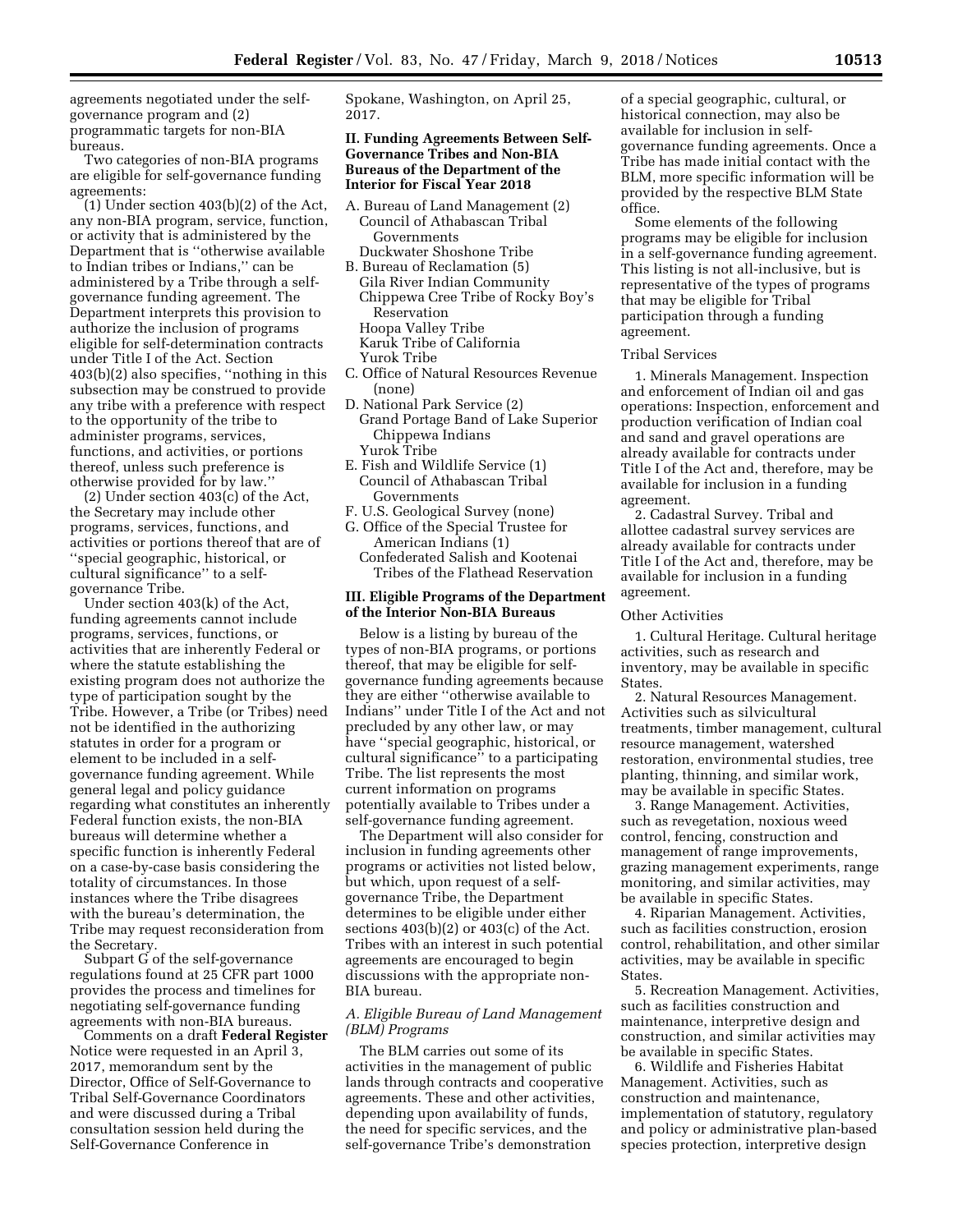agreements negotiated under the selfgovernance program and (2) programmatic targets for non-BIA bureaus.

Two categories of non-BIA programs are eligible for self-governance funding agreements:

(1) Under section 403(b)(2) of the Act, any non-BIA program, service, function, or activity that is administered by the Department that is ''otherwise available to Indian tribes or Indians,'' can be administered by a Tribe through a selfgovernance funding agreement. The Department interprets this provision to authorize the inclusion of programs eligible for self-determination contracts under Title I of the Act. Section 403(b)(2) also specifies, ''nothing in this subsection may be construed to provide any tribe with a preference with respect to the opportunity of the tribe to administer programs, services, functions, and activities, or portions thereof, unless such preference is otherwise provided for by law.''

(2) Under section 403(c) of the Act, the Secretary may include other programs, services, functions, and activities or portions thereof that are of ''special geographic, historical, or cultural significance'' to a selfgovernance Tribe.

Under section 403(k) of the Act, funding agreements cannot include programs, services, functions, or activities that are inherently Federal or where the statute establishing the existing program does not authorize the type of participation sought by the Tribe. However, a Tribe (or Tribes) need not be identified in the authorizing statutes in order for a program or element to be included in a selfgovernance funding agreement. While general legal and policy guidance regarding what constitutes an inherently Federal function exists, the non-BIA bureaus will determine whether a specific function is inherently Federal on a case-by-case basis considering the totality of circumstances. In those instances where the Tribe disagrees with the bureau's determination, the Tribe may request reconsideration from the Secretary.

Subpart G of the self-governance regulations found at 25 CFR part 1000 provides the process and timelines for negotiating self-governance funding agreements with non-BIA bureaus.

Comments on a draft **Federal Register**  Notice were requested in an April 3, 2017, memorandum sent by the Director, Office of Self-Governance to Tribal Self-Governance Coordinators and were discussed during a Tribal consultation session held during the Self-Governance Conference in

Spokane, Washington, on April 25, 2017.

### **II. Funding Agreements Between Self-Governance Tribes and Non-BIA Bureaus of the Department of the Interior for Fiscal Year 2018**

- A. Bureau of Land Management (2) Council of Athabascan Tribal Governments Duckwater Shoshone Tribe
- B. Bureau of Reclamation (5) Gila River Indian Community Chippewa Cree Tribe of Rocky Boy's Reservation
	- Hoopa Valley Tribe
	- Karuk Tribe of California
- Yurok Tribe
- C. Office of Natural Resources Revenue (none)
- D. National Park Service (2)
- Grand Portage Band of Lake Superior Chippewa Indians Yurok Tribe
- E. Fish and Wildlife Service (1) Council of Athabascan Tribal Governments
- F. U.S. Geological Survey (none)
- G. Office of the Special Trustee for American Indians (1) Confederated Salish and Kootenai Tribes of the Flathead Reservation

### **III. Eligible Programs of the Department of the Interior Non-BIA Bureaus**

Below is a listing by bureau of the types of non-BIA programs, or portions thereof, that may be eligible for selfgovernance funding agreements because they are either ''otherwise available to Indians'' under Title I of the Act and not precluded by any other law, or may have ''special geographic, historical, or cultural significance'' to a participating Tribe. The list represents the most current information on programs potentially available to Tribes under a self-governance funding agreement.

The Department will also consider for inclusion in funding agreements other programs or activities not listed below, but which, upon request of a selfgovernance Tribe, the Department determines to be eligible under either sections  $403(b)(2)$  or  $403(c)$  of the Act. Tribes with an interest in such potential agreements are encouraged to begin discussions with the appropriate non-BIA bureau.

# *A. Eligible Bureau of Land Management (BLM) Programs*

The BLM carries out some of its activities in the management of public lands through contracts and cooperative agreements. These and other activities, depending upon availability of funds, the need for specific services, and the self-governance Tribe's demonstration

of a special geographic, cultural, or historical connection, may also be available for inclusion in selfgovernance funding agreements. Once a Tribe has made initial contact with the BLM, more specific information will be provided by the respective BLM State office.

Some elements of the following programs may be eligible for inclusion in a self-governance funding agreement. This listing is not all-inclusive, but is representative of the types of programs that may be eligible for Tribal participation through a funding agreement.

### Tribal Services

1. Minerals Management. Inspection and enforcement of Indian oil and gas operations: Inspection, enforcement and production verification of Indian coal and sand and gravel operations are already available for contracts under Title I of the Act and, therefore, may be available for inclusion in a funding agreement.

2. Cadastral Survey. Tribal and allottee cadastral survey services are already available for contracts under Title I of the Act and, therefore, may be available for inclusion in a funding agreement.

#### Other Activities

1. Cultural Heritage. Cultural heritage activities, such as research and inventory, may be available in specific **States** 

2. Natural Resources Management. Activities such as silvicultural treatments, timber management, cultural resource management, watershed restoration, environmental studies, tree planting, thinning, and similar work, may be available in specific States.

3. Range Management. Activities, such as revegetation, noxious weed control, fencing, construction and management of range improvements, grazing management experiments, range monitoring, and similar activities, may be available in specific States.

4. Riparian Management. Activities, such as facilities construction, erosion control, rehabilitation, and other similar activities, may be available in specific States.

5. Recreation Management. Activities, such as facilities construction and maintenance, interpretive design and construction, and similar activities may be available in specific States.

6. Wildlife and Fisheries Habitat Management. Activities, such as construction and maintenance, implementation of statutory, regulatory and policy or administrative plan-based species protection, interpretive design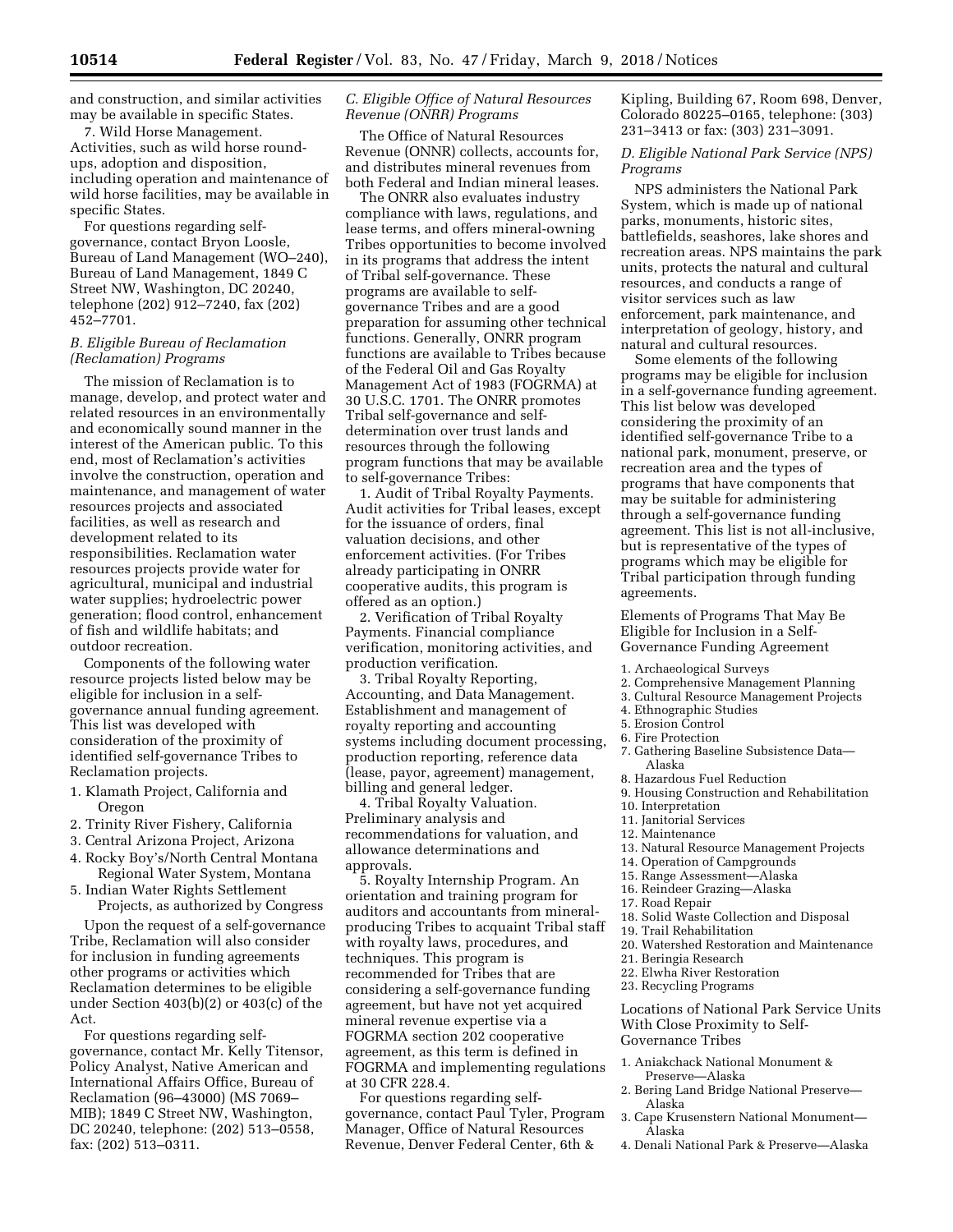and construction, and similar activities may be available in specific States.

7. Wild Horse Management. Activities, such as wild horse roundups, adoption and disposition, including operation and maintenance of wild horse facilities, may be available in specific States.

For questions regarding selfgovernance, contact Bryon Loosle, Bureau of Land Management (WO–240), Bureau of Land Management, 1849 C Street NW, Washington, DC 20240, telephone (202) 912–7240, fax (202) 452–7701.

### *B. Eligible Bureau of Reclamation (Reclamation) Programs*

The mission of Reclamation is to manage, develop, and protect water and related resources in an environmentally and economically sound manner in the interest of the American public. To this end, most of Reclamation's activities involve the construction, operation and maintenance, and management of water resources projects and associated facilities, as well as research and development related to its responsibilities. Reclamation water resources projects provide water for agricultural, municipal and industrial water supplies; hydroelectric power generation; flood control, enhancement of fish and wildlife habitats; and outdoor recreation.

Components of the following water resource projects listed below may be eligible for inclusion in a selfgovernance annual funding agreement. This list was developed with consideration of the proximity of identified self-governance Tribes to Reclamation projects.

- 1. Klamath Project, California and Oregon
- 2. Trinity River Fishery, California
- 3. Central Arizona Project, Arizona
- 4. Rocky Boy's/North Central Montana Regional Water System, Montana
- 5. Indian Water Rights Settlement Projects, as authorized by Congress

Upon the request of a self-governance Tribe, Reclamation will also consider for inclusion in funding agreements other programs or activities which Reclamation determines to be eligible under Section 403(b)(2) or 403(c) of the Act.

For questions regarding selfgovernance, contact Mr. Kelly Titensor, Policy Analyst, Native American and International Affairs Office, Bureau of Reclamation (96–43000) (MS 7069– MIB); 1849 C Street NW, Washington, DC 20240, telephone: (202) 513–0558, fax: (202) 513–0311.

### *C. Eligible Office of Natural Resources Revenue (ONRR) Programs*

The Office of Natural Resources Revenue (ONNR) collects, accounts for, and distributes mineral revenues from both Federal and Indian mineral leases.

The ONRR also evaluates industry compliance with laws, regulations, and lease terms, and offers mineral-owning Tribes opportunities to become involved in its programs that address the intent of Tribal self-governance. These programs are available to selfgovernance Tribes and are a good preparation for assuming other technical functions. Generally, ONRR program functions are available to Tribes because of the Federal Oil and Gas Royalty Management Act of 1983 (FOGRMA) at 30 U.S.C. 1701. The ONRR promotes Tribal self-governance and selfdetermination over trust lands and resources through the following program functions that may be available to self-governance Tribes:

1. Audit of Tribal Royalty Payments. Audit activities for Tribal leases, except for the issuance of orders, final valuation decisions, and other enforcement activities. (For Tribes already participating in ONRR cooperative audits, this program is offered as an option.)

2. Verification of Tribal Royalty Payments. Financial compliance verification, monitoring activities, and production verification.

3. Tribal Royalty Reporting, Accounting, and Data Management. Establishment and management of royalty reporting and accounting systems including document processing, production reporting, reference data (lease, payor, agreement) management, billing and general ledger.

4. Tribal Royalty Valuation. Preliminary analysis and recommendations for valuation, and allowance determinations and approvals.

5. Royalty Internship Program. An orientation and training program for auditors and accountants from mineralproducing Tribes to acquaint Tribal staff with royalty laws, procedures, and techniques. This program is recommended for Tribes that are considering a self-governance funding agreement, but have not yet acquired mineral revenue expertise via a FOGRMA section 202 cooperative agreement, as this term is defined in FOGRMA and implementing regulations at 30 CFR 228.4.

For questions regarding selfgovernance, contact Paul Tyler, Program Manager, Office of Natural Resources Revenue, Denver Federal Center, 6th &

Kipling, Building 67, Room 698, Denver, Colorado 80225–0165, telephone: (303) 231–3413 or fax: (303) 231–3091.

*D. Eligible National Park Service (NPS) Programs* 

NPS administers the National Park System, which is made up of national parks, monuments, historic sites, battlefields, seashores, lake shores and recreation areas. NPS maintains the park units, protects the natural and cultural resources, and conducts a range of visitor services such as law enforcement, park maintenance, and interpretation of geology, history, and natural and cultural resources.

Some elements of the following programs may be eligible for inclusion in a self-governance funding agreement. This list below was developed considering the proximity of an identified self-governance Tribe to a national park, monument, preserve, or recreation area and the types of programs that have components that may be suitable for administering through a self-governance funding agreement. This list is not all-inclusive, but is representative of the types of programs which may be eligible for Tribal participation through funding agreements.

Elements of Programs That May Be Eligible for Inclusion in a Self-Governance Funding Agreement

- 1. Archaeological Surveys
- 2. Comprehensive Management Planning
- 3. Cultural Resource Management Projects
- 4. Ethnographic Studies
- 5. Erosion Control
- 6. Fire Protection
- 7. Gathering Baseline Subsistence Data— Alaska
- 8. Hazardous Fuel Reduction
- 9. Housing Construction and Rehabilitation
- 10. Interpretation
- 11. Janitorial Services
- 12. Maintenance
- 13. Natural Resource Management Projects
- 14. Operation of Campgrounds
- 15. Range Assessment—Alaska
- 16. Reindeer Grazing—Alaska
- 17. Road Repair
- 18. Solid Waste Collection and Disposal
- 19. Trail Rehabilitation
- 20. Watershed Restoration and Maintenance
- 21. Beringia Research
- 22. Elwha River Restoration
- 23. Recycling Programs

Locations of National Park Service Units With Close Proximity to Self-Governance Tribes

- 1. Aniakchack National Monument & Preserve—Alaska
- 2. Bering Land Bridge National Preserve— Alaska
- 3. Cape Krusenstern National Monument— Alaska
- 4. Denali National Park & Preserve—Alaska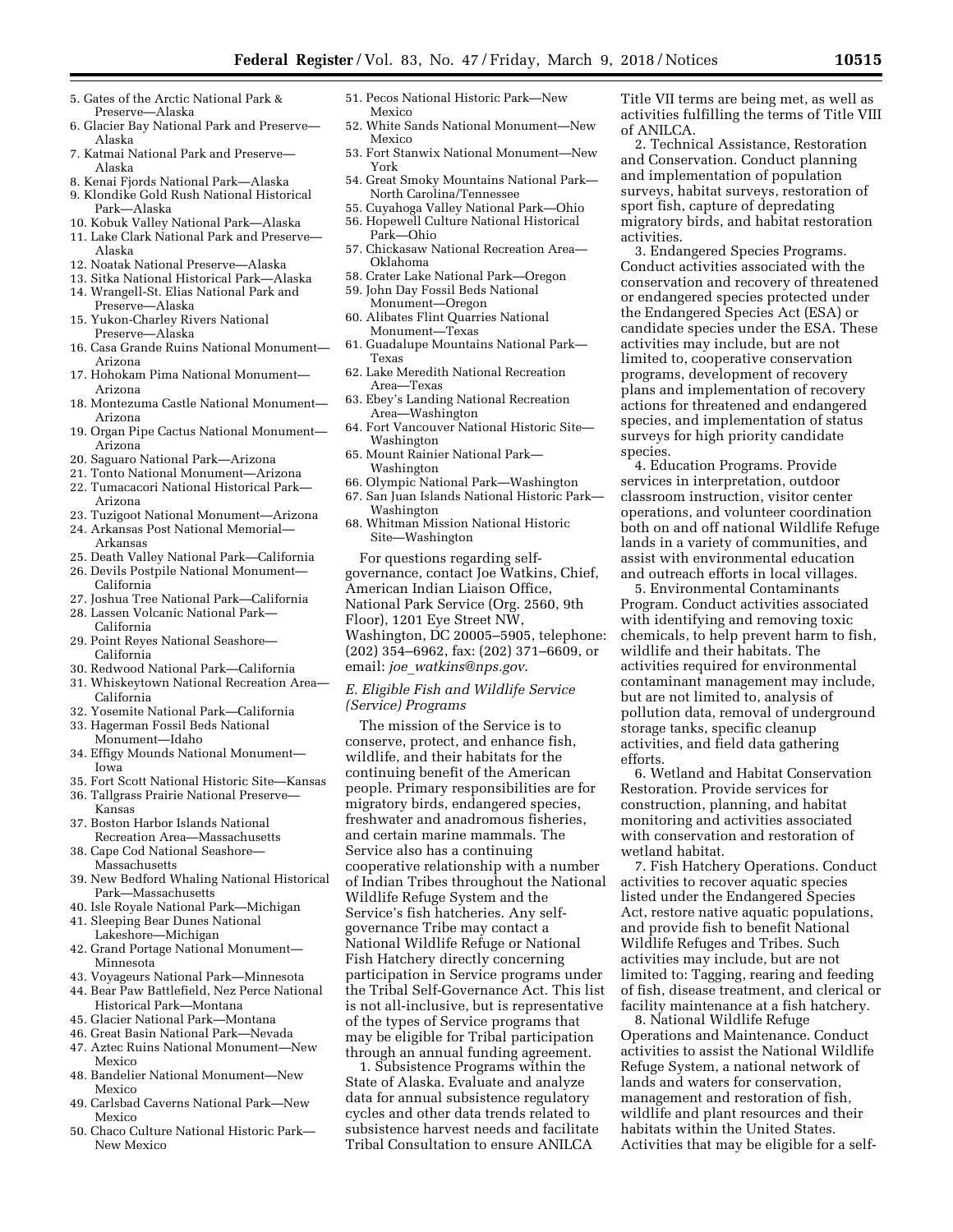- 5. Gates of the Arctic National Park & Preserve—Alaska
- 6. Glacier Bay National Park and Preserve— Alaska
- 7. Katmai National Park and Preserve— Alaska
- 8. Kenai Fjords National Park—Alaska
- 9. Klondike Gold Rush National Historical Park—Alaska
- 10. Kobuk Valley National Park—Alaska
- 11. Lake Clark National Park and Preserve— Alaska
- 12. Noatak National Preserve—Alaska
- 13. Sitka National Historical Park—Alaska
- 14. Wrangell-St. Elias National Park and Preserve—Alaska
- 15. Yukon-Charley Rivers National Preserve—Alaska
- 16. Casa Grande Ruins National Monument— Arizona
- 17. Hohokam Pima National Monument— Arizona
- 18. Montezuma Castle National Monument— Arizona
- 19. Organ Pipe Cactus National Monument— Arizona
- 20. Saguaro National Park—Arizona
- 21. Tonto National Monument—Arizona
- 22. Tumacacori National Historical Park— Arizona
- 23. Tuzigoot National Monument—Arizona
- 24. Arkansas Post National Memorial— Arkansas
- 25. Death Valley National Park—California
- 26. Devils Postpile National Monument— California
- 27. Joshua Tree National Park—California
- 28. Lassen Volcanic National Park— California
- 29. Point Reyes National Seashore— California
- 30. Redwood National Park—California
- 31. Whiskeytown National Recreation Area— California
- 32. Yosemite National Park—California
- 33. Hagerman Fossil Beds National Monument—Idaho
- 34. Effigy Mounds National Monument— Iowa
- 35. Fort Scott National Historic Site—Kansas
- 36. Tallgrass Prairie National Preserve— Kansas
- 37. Boston Harbor Islands National Recreation Area—Massachusetts
- 38. Cape Cod National Seashore— Massachusetts
- 39. New Bedford Whaling National Historical Park—Massachusetts
- 40. Isle Royale National Park—Michigan
- 41. Sleeping Bear Dunes National Lakeshore—Michigan
- 42. Grand Portage National Monument— Minnesota
- 43. Voyageurs National Park—Minnesota
- 44. Bear Paw Battlefield, Nez Perce National Historical Park—Montana
- 45. Glacier National Park—Montana
- 46. Great Basin National Park—Nevada
- 47. Aztec Ruins National Monument—New Mexico
- 48. Bandelier National Monument—New Mexico
- 49. Carlsbad Caverns National Park—New Mexico
- 50. Chaco Culture National Historic Park— New Mexico
- 51. Pecos National Historic Park—New Mexico
- 52. White Sands National Monument—New Mexico
- 53. Fort Stanwix National Monument—New York
- 54. Great Smoky Mountains National Park— North Carolina/Tennessee
- 55. Cuyahoga Valley National Park—Ohio
- 56. Hopewell Culture National Historical
- Park—Ohio 57. Chickasaw National Recreation Area— Oklahoma
- 58. Crater Lake National Park—Oregon
- 59. John Day Fossil Beds National Monument—Oregon
- 60. Alibates Flint Quarries National Monument—Texas
- 61. Guadalupe Mountains National Park— Texas
- 62. Lake Meredith National Recreation Area—Texas
- 63. Ebey's Landing National Recreation Area—Washington
- 64. Fort Vancouver National Historic Site— Washington
- 65. Mount Rainier National Park— Washington
- 66. Olympic National Park—Washington 67. San Juan Islands National Historic Park—
- Washington 68. Whitman Mission National Historic Site—Washington

For questions regarding selfgovernance, contact Joe Watkins, Chief, American Indian Liaison Office, National Park Service (Org. 2560, 9th Floor), 1201 Eye Street NW, Washington, DC 20005–5905, telephone: (202) 354–6962, fax: (202) 371–6609, or email: *joe*\_*[watkins@nps.gov](mailto:joe_watkins@nps.gov)*.

### *E. Eligible Fish and Wildlife Service (Service) Programs*

The mission of the Service is to conserve, protect, and enhance fish, wildlife, and their habitats for the continuing benefit of the American people. Primary responsibilities are for migratory birds, endangered species, freshwater and anadromous fisheries, and certain marine mammals. The Service also has a continuing cooperative relationship with a number of Indian Tribes throughout the National Wildlife Refuge System and the Service's fish hatcheries. Any selfgovernance Tribe may contact a National Wildlife Refuge or National Fish Hatchery directly concerning participation in Service programs under the Tribal Self-Governance Act. This list is not all-inclusive, but is representative of the types of Service programs that may be eligible for Tribal participation through an annual funding agreement.

1. Subsistence Programs within the State of Alaska. Evaluate and analyze data for annual subsistence regulatory cycles and other data trends related to subsistence harvest needs and facilitate Tribal Consultation to ensure ANILCA

Title VII terms are being met, as well as activities fulfilling the terms of Title VIII of ANILCA.

2. Technical Assistance, Restoration and Conservation. Conduct planning and implementation of population surveys, habitat surveys, restoration of sport fish, capture of depredating migratory birds, and habitat restoration activities.

3. Endangered Species Programs. Conduct activities associated with the conservation and recovery of threatened or endangered species protected under the Endangered Species Act (ESA) or candidate species under the ESA. These activities may include, but are not limited to, cooperative conservation programs, development of recovery plans and implementation of recovery actions for threatened and endangered species, and implementation of status surveys for high priority candidate species.

4. Education Programs. Provide services in interpretation, outdoor classroom instruction, visitor center operations, and volunteer coordination both on and off national Wildlife Refuge lands in a variety of communities, and assist with environmental education and outreach efforts in local villages.

5. Environmental Contaminants Program. Conduct activities associated with identifying and removing toxic chemicals, to help prevent harm to fish, wildlife and their habitats. The activities required for environmental contaminant management may include, but are not limited to, analysis of pollution data, removal of underground storage tanks, specific cleanup activities, and field data gathering efforts.

6. Wetland and Habitat Conservation Restoration. Provide services for construction, planning, and habitat monitoring and activities associated with conservation and restoration of wetland habitat.

7. Fish Hatchery Operations. Conduct activities to recover aquatic species listed under the Endangered Species Act, restore native aquatic populations, and provide fish to benefit National Wildlife Refuges and Tribes. Such activities may include, but are not limited to: Tagging, rearing and feeding of fish, disease treatment, and clerical or facility maintenance at a fish hatchery.

8. National Wildlife Refuge Operations and Maintenance. Conduct activities to assist the National Wildlife Refuge System, a national network of lands and waters for conservation, management and restoration of fish, wildlife and plant resources and their habitats within the United States. Activities that may be eligible for a self